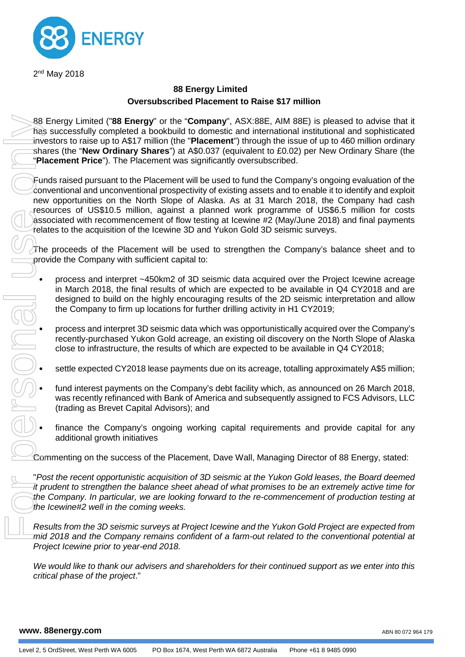

2<sup>nd</sup> May 2018

# **88 Energy Limited Oversubscribed Placement to Raise \$17 million**

88 Energy Limited ("**88 Energy**" or the "**Company**", ASX:88E, AIM 88E) is pleased to advise that it has successfully completed a bookbuild to domestic and international institutional and sophisticated investors to raise up to A\$17 million (the "**Placement**") through the issue of up to 460 million ordinary shares (the "**New Ordinary Shares**") at A\$0.037 (equivalent to £0.02) per New Ordinary Share (the "**Placement Price**"). The Placement was significantly oversubscribed.

Funds raised pursuant to the Placement will be used to fund the Company's ongoing evaluation of the conventional and unconventional prospectivity of existing assets and to enable it to identify and exploit new opportunities on the North Slope of Alaska. As at 31 March 2018, the Company had cash resources of US\$10.5 million, against a planned work programme of US\$6.5 million for costs associated with recommencement of flow testing at Icewine #2 (May/June 2018) and final payments relates to the acquisition of the Icewine 3D and Yukon Gold 3D seismic surveys. 88 Energy Limited ("88 Energy Limited ("88 Energy Limited investors to raise up to A\$17<br>
shares (the "New Ordinary"<br>
"Placement Price"). The Plate<br>
Funds raised pursuant to the<br>
conventional and unconventities on the N<br>
cr

The proceeds of the Placement will be used to strengthen the Company's balance sheet and to provide the Company with sufficient capital to:

- process and interpret ~450km2 of 3D seismic data acquired over the Project Icewine acreage in March 2018, the final results of which are expected to be available in Q4 CY2018 and are designed to build on the highly encouraging results of the 2D seismic interpretation and allow the Company to firm up locations for further drilling activity in H1 CY2019;
- process and interpret 3D seismic data which was opportunistically acquired over the Company's recently-purchased Yukon Gold acreage, an existing oil discovery on the North Slope of Alaska close to infrastructure, the results of which are expected to be available in Q4 CY2018;
- 
- dose to infrastructure, the results of which are expected to be available in Q4 CY2018;<br>settle expected CY2018 lease payments due on its acreage, totalling approximately A\$5 million;<br>fund interest payments on the Company's • fund interest payments on the Company's debt facility which, as announced on 26 March 2018, was recently refinanced with Bank of America and subsequently assigned to FCS Advisors, LLC (trading as Brevet Capital Advisors); and
	- finance the Company's ongoing working capital requirements and provide capital for any additional growth initiatives

Commenting on the success of the Placement, Dave Wall, Managing Director of 88 Energy, stated:

"*Post the recent opportunistic acquisition of 3D seismic at the Yukon Gold leases, the Board deemed it prudent to strengthen the balance sheet ahead of what promises to be an extremely active time for the Company. In particular, we are looking forward to the re-commencement of production testing at the Icewine#2 well in the coming weeks.*

*Results from the 3D seismic surveys at Project Icewine and the Yukon Gold Project are expected from mid 2018 and the Company remains confident of a farm-out related to the conventional potential at Project Icewine prior to year-end 2018.*

*We would like to thank our advisers and shareholders for their continued support as we enter into this* 

**www. 88energy.com**

ABN 80 072 964 179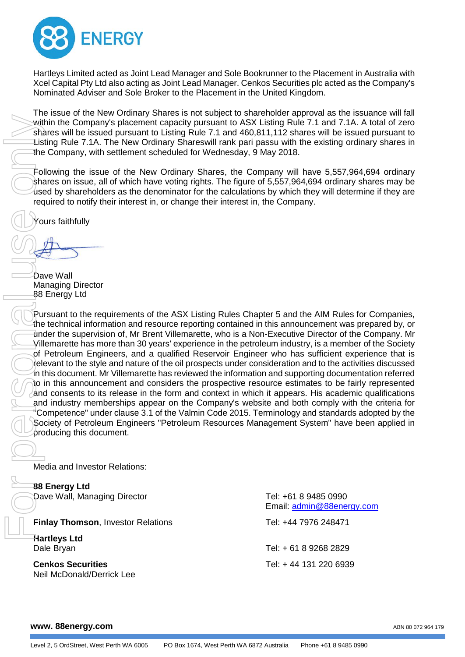

Hartleys Limited acted as Joint Lead Manager and Sole Bookrunner to the Placement in Australia with Xcel Capital Pty Ltd also acting as Joint Lead Manager. Cenkos Securities plc acted as the Company's Nominated Adviser and Sole Broker to the Placement in the United Kingdom.

The issue of the New Ordinary Shares is not subject to shareholder approval as the issuance will fall within the Company's placement capacity pursuant to ASX Listing Rule 7.1 and 7.1A. A total of zero shares will be issued pursuant to Listing Rule 7.1 and 460,811,112 shares will be issued pursuant to Listing Rule 7.1A. The New Ordinary Shareswill rank pari passu with the existing ordinary shares in the Company, with settlement scheduled for Wednesday, 9 May 2018.

Following the issue of the New Ordinary Shares, the Company will have 5,557,964,694 ordinary shares on issue, all of which have voting rights. The figure of 5,557,964,694 ordinary shares may be  $\mu$ sed by shareholders as the denominator for the calculations by which they will determine if they are required to notify their interest in, or change their interest in, the Company.

ours faithfully

Dave Wall Managing Director 88 Energy Ltd

Pursuant to the requirements of the ASX Listing Rules Chapter 5 and the AIM Rules for Companies, the technical information and resource reporting contained in this announcement was prepared by, or under the supervision of, Mr Brent Villemarette, who is a Non-Executive Director of the Company. Mr Villemarette has more than 30 years' experience in the petroleum industry, is a member of the Society of Petroleum Engineers, and a qualified Reservoir Engineer who has sufficient experience that is relevant to the style and nature of the oil prospects under consideration and to the activities discussed in this document. Mr Villemarette has reviewed the information and supporting documentation referred to in this announcement and considers the prospective resource estimates to be fairly represented and consents to its release in the form and context in which it appears. His academic qualifications and industry memberships appear on the Company's website and both comply with the criteria for "Competence" under clause 3.1 of the Valmin Code 2015. Terminology and standards adopted by the Society of Petroleum Engineers "Petroleum Resources Management System" have been applied in producing this document. Within the Company's place<br>
within the Company's place<br>
Listing Rule 7.1A. The New<br>
the Company, with settlem<br>
Following the issue of the<br>
sead by shareholders as the<br>
sead by shareholders as the<br>
required to notify their

Media and Investor Relations:

**88 Energy Ltd** Dave Wall, Managing Director Tel: +61 8 9485 0990

**Finlay Thomson**, Investor Relations Tel: +44 7976 248471

**Hartleys Ltd**

**Cenkos Securities** Tel: + 44 131 220 6939

Email: [admin@88energy.com](mailto:admin@88energy.com)

Dale Bryan Tel: + 61 8 9268 2829

# **www. 88energy.com**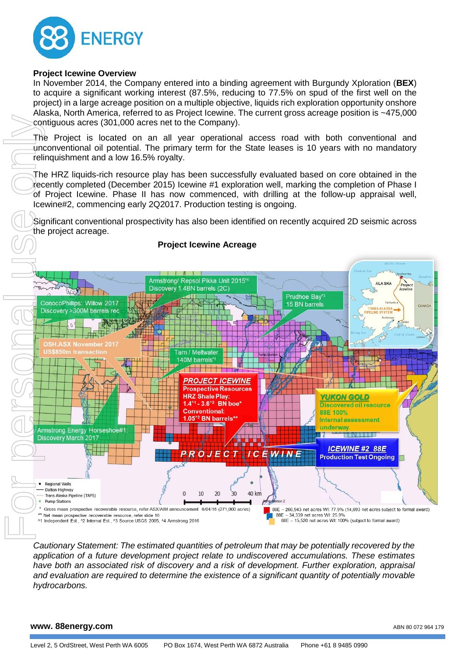

## **Project Icewine Overview**

In November 2014, the Company entered into a binding agreement with Burgundy Xploration (**BEX**) to acquire a significant working interest (87.5%, reducing to 77.5% on spud of the first well on the project) in a large acreage position on a multiple objective, liquids rich exploration opportunity onshore Alaska, North America, referred to as Project Icewine. The current gross acreage position is ~475,000 contiguous acres (301,000 acres net to the Company).

The Project is located on an all year operational access road with both conventional and unconventional oil potential. The primary term for the State leases is 10 years with no mandatory relinquishment and a low 16.5% royalty.

The HRZ liquids-rich resource play has been successfully evaluated based on core obtained in the recently completed (December 2015) Icewine #1 exploration well, marking the completion of Phase I of Project Icewine. Phase II has now commenced, with drilling at the follow-up appraisal well, Icewine#2, commencing early 2Q2017. Production testing is ongoing.

Significant conventional prospectivity has also been identified on recently acquired 2D seismic across the project acreage.



*Cautionary Statement: The estimated quantities of petroleum that may be potentially recovered by the application of a future development project relate to undiscovered accumulations. These estimates have both an associated risk of discovery and a risk of development. Further exploration, appraisal and evaluation are required to determine the existence of a significant quantity of potentially movable hydrocarbons.*

### **www. 88energy.com**